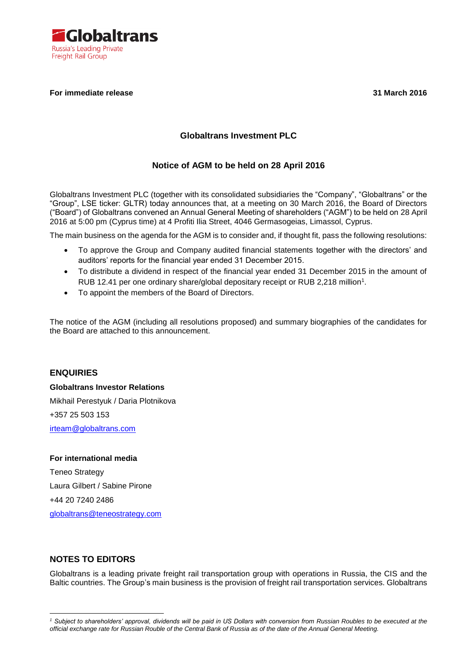

### **For immediate release 31 March 2016**

# **Globaltrans Investment PLC**

# **Notice of AGM to be held on 28 April 2016**

Globaltrans Investment PLC (together with its consolidated subsidiaries the "Company", "Globaltrans" or the "Group", LSE ticker: GLTR) today announces that, at a meeting on 30 March 2016, the Board of Directors ("Board") of Globaltrans convened an Annual General Meeting of shareholders ("AGM") to be held on 28 April 2016 at 5:00 pm (Cyprus time) at 4 Profiti Ilia Street, 4046 Germasogeias, Limassol, Cyprus.

The main business on the agenda for the AGM is to consider and, if thought fit, pass the following resolutions:

- To approve the Group and Company audited financial statements together with the directors' and auditors' reports for the financial year ended 31 December 2015.
- To distribute a dividend in respect of the financial year ended 31 December 2015 in the amount of RUB 12.41 per one ordinary share/global depositary receipt or RUB 2,218 million<sup>1</sup>.
- To appoint the members of the Board of Directors.

The notice of the AGM (including all resolutions proposed) and summary biographies of the candidates for the Board are attached to this announcement.

# **ENQUIRIES**

**Globaltrans Investor Relations** Mikhail Perestyuk / Daria Plotnikova +357 25 503 153 [irteam@globaltrans.com](mailto:irteam@globaltrans.com)

### **For international media**

Teneo Strategy Laura Gilbert / Sabine Pirone +44 20 7240 2486 [globaltrans@teneostrategy.com](mailto:globaltrans@teneostrategy.com)

# **NOTES TO EDITORS**

1

Globaltrans is a leading private freight rail transportation group with operations in Russia, the CIS and the Baltic countries. The Group's main business is the provision of freight rail transportation services. Globaltrans

*<sup>1</sup> Subject to shareholders' approval, dividends will be paid in US Dollars with conversion from Russian Roubles to be executed at the official exchange rate for Russian Rouble of the Central Bank of Russia as of the date of the Annual General Meeting.*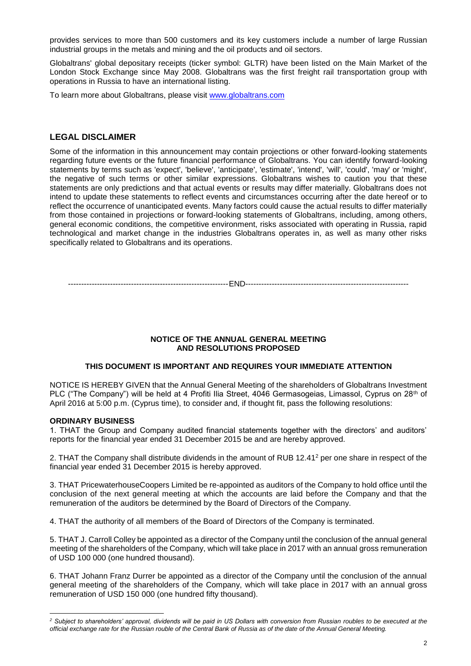provides services to more than 500 customers and its key customers include a number of large Russian industrial groups in the metals and mining and the oil products and oil sectors.

Globaltrans' global depositary receipts (ticker symbol: GLTR) have been listed on the Main Market of the London Stock Exchange since May 2008. Globaltrans was the first freight rail transportation group with operations in Russia to have an international listing.

To learn more about Globaltrans, please visit [www.globaltrans.com](file:///C:/Users/Perestyuk/Desktop/GLTR%20FY%202013%20Results/FY2013%20Results%20Execution%20copies/RNS/www.globaltrans.com)

### **LEGAL DISCLAIMER**

Some of the information in this announcement may contain projections or other forward-looking statements regarding future events or the future financial performance of Globaltrans. You can identify forward-looking statements by terms such as 'expect', 'believe', 'anticipate', 'estimate', 'intend', 'will', 'could', 'may' or 'might', the negative of such terms or other similar expressions. Globaltrans wishes to caution you that these statements are only predictions and that actual events or results may differ materially. Globaltrans does not intend to update these statements to reflect events and circumstances occurring after the date hereof or to reflect the occurrence of unanticipated events. Many factors could cause the actual results to differ materially from those contained in projections or forward-looking statements of Globaltrans, including, among others, general economic conditions, the competitive environment, risks associated with operating in Russia, rapid technological and market change in the industries Globaltrans operates in, as well as many other risks specifically related to Globaltrans and its operations.

-------------------------------------------------------------END--------------------------------------------------------------

#### **NOTICE OF THE ANNUAL GENERAL MEETING AND RESOLUTIONS PROPOSED**

#### **THIS DOCUMENT IS IMPORTANT AND REQUIRES YOUR IMMEDIATE ATTENTION**

NOTICE IS HEREBY GIVEN that the Annual General Meeting of the shareholders of Globaltrans Investment PLC ("The Company") will be held at 4 Profiti Ilia Street, 4046 Germasogeias, Limassol, Cyprus on 28<sup>th</sup> of April 2016 at 5:00 p.m. (Cyprus time), to consider and, if thought fit, pass the following resolutions:

#### **ORDINARY BUSINESS**

1

1. THAT the Group and Company audited financial statements together with the directors' and auditors' reports for the financial year ended 31 December 2015 be and are hereby approved.

2. THAT the Company shall distribute dividends in the amount of RUB 12.41<sup>2</sup> per one share in respect of the financial year ended 31 December 2015 is hereby approved.

3. THAT PricewaterhouseCoopers Limited be re-appointed as auditors of the Company to hold office until the conclusion of the next general meeting at which the accounts are laid before the Company and that the remuneration of the auditors be determined by the Board of Directors of the Company.

4. THAT the authority of all members of the Board of Directors of the Company is terminated.

5. THAT J. Carroll Colley be appointed as a director of the Company until the conclusion of the annual general meeting of the shareholders of the Company, which will take place in 2017 with an annual gross remuneration of USD 100 000 (one hundred thousand).

6. THAT Johann Franz Durrer be appointed as a director of the Company until the conclusion of the annual general meeting of the shareholders of the Company, which will take place in 2017 with an annual gross remuneration of USD 150 000 (one hundred fifty thousand).

*<sup>2</sup> Subject to shareholders' approval, dividends will be paid in US Dollars with conversion from Russian roubles to be executed at the official exchange rate for the Russian rouble of the Central Bank of Russia as of the date of the Annual General Meeting.*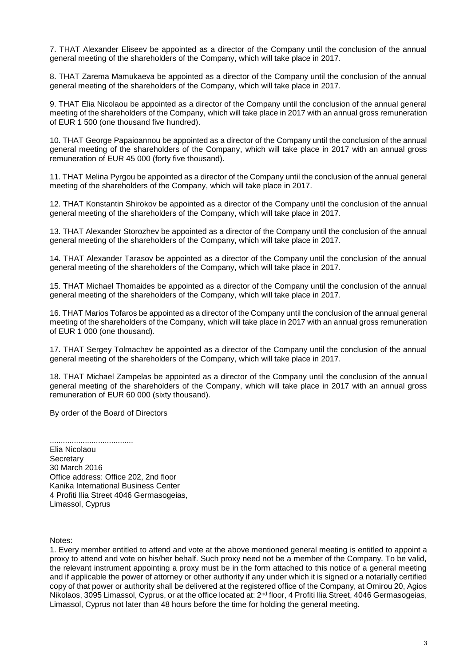7. THAT Alexander Eliseev be appointed as a director of the Company until the conclusion of the annual general meeting of the shareholders of the Company, which will take place in 2017.

8. THAT Zarema Mamukaeva be appointed as a director of the Company until the conclusion of the annual general meeting of the shareholders of the Company, which will take place in 2017.

9. THAT Elia Nicolaou be appointed as a director of the Company until the conclusion of the annual general meeting of the shareholders of the Company, which will take place in 2017 with an annual gross remuneration of EUR 1 500 (one thousand five hundred).

10. THAT George Papaioannou be appointed as a director of the Company until the conclusion of the annual general meeting of the shareholders of the Company, which will take place in 2017 with an annual gross remuneration of EUR 45 000 (forty five thousand).

11. THAT Melina Pyrgou be appointed as a director of the Company until the conclusion of the annual general meeting of the shareholders of the Company, which will take place in 2017.

12. THAT Konstantin Shirokov be appointed as a director of the Company until the conclusion of the annual general meeting of the shareholders of the Company, which will take place in 2017.

13. THAT Alexander Storozhev be appointed as a director of the Company until the conclusion of the annual general meeting of the shareholders of the Company, which will take place in 2017.

14. THAT Alexander Tarasov be appointed as a director of the Company until the conclusion of the annual general meeting of the shareholders of the Company, which will take place in 2017.

15. THAT Michael Thomaides be appointed as a director of the Company until the conclusion of the annual general meeting of the shareholders of the Company, which will take place in 2017.

16. THAT Marios Tofaros be appointed as a director of the Company until the conclusion of the annual general meeting of the shareholders of the Company, which will take place in 2017 with an annual gross remuneration of EUR 1 000 (one thousand).

17. THAT Sergey Tolmachev be appointed as a director of the Company until the conclusion of the annual general meeting of the shareholders of the Company, which will take place in 2017.

18. THAT Michael Zampelas be appointed as a director of the Company until the conclusion of the annual general meeting of the shareholders of the Company, which will take place in 2017 with an annual gross remuneration of EUR 60 000 (sixty thousand).

By order of the Board of Directors

...................................... Elia Nicolaou **Secretary** 30 March 2016 Office address: Office 202, 2nd floor Kanika International Business Center 4 Profiti Ilia Street 4046 Germasogeias, Limassol, Cyprus

Notes:

1. Every member entitled to attend and vote at the above mentioned general meeting is entitled to appoint a proxy to attend and vote on his/her behalf. Such proxy need not be a member of the Company. To be valid, the relevant instrument appointing a proxy must be in the form attached to this notice of a general meeting and if applicable the power of attorney or other authority if any under which it is signed or a notarially certified copy of that power or authority shall be delivered at the registered office of the Company, at Omirou 20, Agios Nikolaos, 3095 Limassol, Cyprus, or at the office located at: 2<sup>nd</sup> floor, 4 Profiti Ilia Street, 4046 Germasogeias, Limassol, Cyprus not later than 48 hours before the time for holding the general meeting.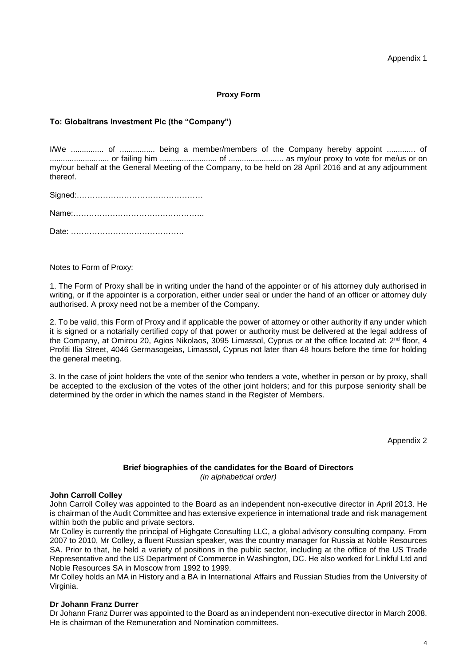Appendix 1

### **Proxy Form**

### **To: Globaltrans Investment Plc (the "Company")**

I/We ............... of ................ being a member/members of the Company hereby appoint ............. of ........................... or failing him .......................... of ......................... as my/our proxy to vote for me/us or on my/our behalf at the General Meeting of the Company, to be held on 28 April 2016 and at any adjournment thereof.

Notes to Form of Proxy:

1. The Form of Proxy shall be in writing under the hand of the appointer or of his attorney duly authorised in writing, or if the appointer is a corporation, either under seal or under the hand of an officer or attorney duly authorised. A proxy need not be a member of the Company.

2. To be valid, this Form of Proxy and if applicable the power of attorney or other authority if any under which it is signed or a notarially certified copy of that power or authority must be delivered at the legal address of the Company, at Omirou 20, Agios Nikolaos, 3095 Limassol, Cyprus or at the office located at: 2<sup>nd</sup> floor, 4 Profiti Ilia Street, 4046 Germasogeias, Limassol, Cyprus not later than 48 hours before the time for holding the general meeting.

3. In the case of joint holders the vote of the senior who tenders a vote, whether in person or by proxy, shall be accepted to the exclusion of the votes of the other joint holders; and for this purpose seniority shall be determined by the order in which the names stand in the Register of Members.

Appendix 2

### **Brief biographies of the candidates for the Board of Directors** *(in alphabetical order)*

#### **John Carroll Colley**

John Carroll Colley was appointed to the Board as an independent non-executive director in April 2013. He is chairman of the Audit Committee and has extensive experience in international trade and risk management within both the public and private sectors.

Mr Colley is currently the principal of Highgate Consulting LLC, a global advisory consulting company. From 2007 to 2010, Mr Colley, a fluent Russian speaker, was the country manager for Russia at Noble Resources SA. Prior to that, he held a variety of positions in the public sector, including at the office of the US Trade Representative and the US Department of Commerce in Washington, DC. He also worked for Linkful Ltd and Noble Resources SA in Moscow from 1992 to 1999.

Mr Colley holds an MA in History and a BA in International Affairs and Russian Studies from the University of Virginia.

### **Dr Johann Franz Durrer**

Dr Johann Franz Durrer was appointed to the Board as an independent non-executive director in March 2008. He is chairman of the Remuneration and Nomination committees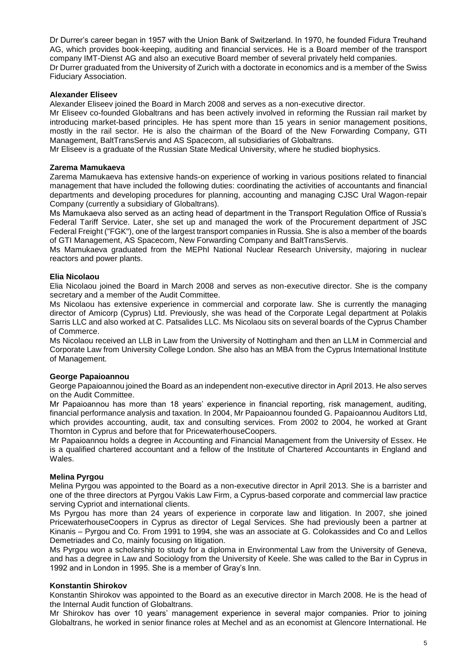Dr Durrer's career began in 1957 with the Union Bank of Switzerland. In 1970, he founded Fidura Treuhand AG, which provides book-keeping, auditing and financial services. He is a Board member of the transport company IMT-Dienst AG and also an executive Board member of several privately held companies. Dr Durrer graduated from the University of Zurich with a doctorate in economics and is a member of the Swiss Fiduciary Association.

### **Alexander Eliseev**

Alexander Eliseev joined the Board in March 2008 and serves as a non-executive director.

Mr Eliseev co-founded Globaltrans and has been actively involved in reforming the Russian rail market by introducing market-based principles. He has spent more than 15 years in senior management positions, mostly in the rail sector. He is also the chairman of the Board of the New Forwarding Company, GTI Management, BaltTransServis and AS Spacecom, all subsidiaries of Globaltrans.

Mr Eliseev is a graduate of the Russian State Medical University, where he studied biophysics.

#### **Zarema Mamukaeva**

Zarema Mamukaeva has extensive hands-on experience of working in various positions related to financial management that have included the following duties: coordinating the activities of accountants and financial departments and developing procedures for planning, accounting and managing CJSC Ural Wagon-repair Company (currently a subsidiary of Globaltrans).

Ms Mamukaeva also served as an acting head of department in the Transport Regulation Office of Russia's Federal Tariff Service. Later, she set up and managed the work of the Procurement department of JSC Federal Freight ("FGK"), one of the largest transport companies in Russia. She is also a member of the boards of GTI Management, AS Spacecom, New Forwarding Company and BaltTransServis.

Ms Mamukaeva graduated from the MEPhI National Nuclear Research University, majoring in nuclear reactors and power plants.

#### **Elia Nicolaou**

Elia Nicolaou joined the Board in March 2008 and serves as non-executive director. She is the company secretary and a member of the Audit Committee.

Ms Nicolaou has extensive experience in commercial and corporate law. She is currently the managing director of Amicorp (Cyprus) Ltd. Previously, she was head of the Corporate Legal department at Polakis Sarris LLC and also worked at C. Patsalides LLC. Ms Nicolaou sits on several boards of the Cyprus Chamber of Commerce.

Ms Nicolaou received an LLB in Law from the University of Nottingham and then an LLM in Commercial and Corporate Law from University College London. She also has an MBA from the Cyprus International Institute of Management.

#### **George Papaioannou**

George Papaioannou joined the Board as an independent non-executive director in April 2013. He also serves on the Audit Committee.

Mr Papaioannou has more than 18 years' experience in financial reporting, risk management, auditing, financial performance analysis and taxation. In 2004, Mr Papaioannou founded G. Papaioannou Auditors Ltd, which provides accounting, audit, tax and consulting services. From 2002 to 2004, he worked at Grant Thornton in Cyprus and before that for PricewaterhouseCoopers.

Mr Papaioannou holds a degree in Accounting and Financial Management from the University of Essex. He is a qualified chartered accountant and a fellow of the Institute of Chartered Accountants in England and **Wales** 

#### **Melina Pyrgou**

Melina Pyrgou was appointed to the Board as a non-executive director in April 2013. She is a barrister and one of the three directors at Pyrgou Vakis Law Firm, a Cyprus-based corporate and commercial law practice serving Cypriot and international clients.

Ms Pyrgou has more than 24 years of experience in corporate law and litigation. In 2007, she joined PricewaterhouseCoopers in Cyprus as director of Legal Services. She had previously been a partner at Kinanis – Pyrgou and Co. From 1991 to 1994, she was an associate at G. Colokassides and Co and Lellos Demetriades and Co, mainly focusing on litigation.

Ms Pyrgou won a scholarship to study for a diploma in Environmental Law from the University of Geneva, and has a degree in Law and Sociology from the University of Keele. She was called to the Bar in Cyprus in 1992 and in London in 1995. She is a member of Gray's Inn.

#### **Konstantin Shirokov**

Konstantin Shirokov was appointed to the Board as an executive director in March 2008. He is the head of the Internal Audit function of Globaltrans.

Mr Shirokov has over 10 years' management experience in several major companies. Prior to joining Globaltrans, he worked in senior finance roles at Mechel and as an economist at Glencore International. He